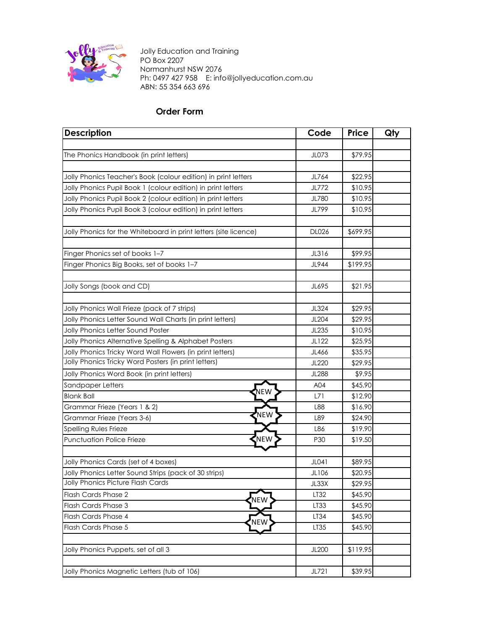

Jolly Education and Training PO Box 2207 Normanhurst NSW 2076 Ph: 0497 427 958 E: info@jollyeducation.com.au ABN: 55 354 663 696

## **Order Form**

| <b>Description</b>                                                                         | Code         | <b>Price</b> | Qty |
|--------------------------------------------------------------------------------------------|--------------|--------------|-----|
|                                                                                            |              |              |     |
| The Phonics Handbook (in print letters)                                                    | JL073        | \$79.95      |     |
|                                                                                            |              |              |     |
| Jolly Phonics Teacher's Book (colour edition) in print letters                             | JL764        | \$22.95      |     |
| Jolly Phonics Pupil Book 1 (colour edition) in print letters                               | JL772        | \$10.95      |     |
| Jolly Phonics Pupil Book 2 (colour edition) in print letters                               | JL780        | \$10.95      |     |
| Jolly Phonics Pupil Book 3 (colour edition) in print letters                               | JL799        | \$10.95      |     |
|                                                                                            |              |              |     |
| Jolly Phonics for the Whiteboard in print letters (site licence)                           | <b>DL026</b> | \$699.95     |     |
|                                                                                            |              |              |     |
| Finger Phonics set of books 1-7                                                            | JL316        | \$99.95      |     |
| Finger Phonics Big Books, set of books 1-7                                                 | JL944        | \$199.95     |     |
|                                                                                            |              |              |     |
| Jolly Songs (book and CD)                                                                  | JL695        | \$21.95      |     |
|                                                                                            |              |              |     |
| Jolly Phonics Wall Frieze (pack of 7 strips)                                               | JL324        | \$29.95      |     |
| Jolly Phonics Letter Sound Wall Charts (in print letters)                                  | JL204        | \$29.95      |     |
| Jolly Phonics Letter Sound Poster                                                          | JL235        | \$10.95      |     |
| Jolly Phonics Alternative Spelling & Alphabet Posters                                      | JL122        | \$25.95      |     |
| Jolly Phonics Tricky Word Wall Flowers (in print letters)                                  | JL466        | \$35.95      |     |
| Jolly Phonics Tricky Word Posters (in print letters)                                       | JL220        | \$29.95      |     |
| Jolly Phonics Word Book (in print letters)                                                 | <b>JL288</b> | \$9.95       |     |
| Sandpaper Letters<br>NEW                                                                   | A04          | \$45.90      |     |
| <b>Blank Ball</b>                                                                          | L71          | \$12.90      |     |
| Grammar Frieze (Years 1 & 2)<br>₹NEW                                                       | L88          | \$16.90      |     |
| Grammar Frieze (Years 3-6)                                                                 | L89          | \$24.90      |     |
| Spelling Rules Frieze                                                                      | L86          | \$19.90      |     |
| .<br>NEW<br><b>Punctuation Police Frieze</b>                                               | P30          | \$19.50      |     |
|                                                                                            |              |              |     |
| Jolly Phonics Cards (set of 4 boxes)                                                       | JL041        | \$89.95      |     |
| Jolly Phonics Letter Sound Strips (pack of 30 strips)<br>Jolly Phonics Picture Flash Cards | JL106        | \$20.95      |     |
|                                                                                            | JL33X        | \$29.95      |     |
| Flash Cards Phase 2<br><b>NEW</b>                                                          | LT32         | \$45.90      |     |
| Flash Cards Phase 3                                                                        | LT33         | \$45.90      |     |
| Flash Cards Phase 4<br>NEW                                                                 | LT34         | \$45.90      |     |
| Flash Cards Phase 5                                                                        | LT35         | \$45.90      |     |
|                                                                                            |              |              |     |
| Jolly Phonics Puppets, set of all 3                                                        | JL200        | \$119.95     |     |
| Jolly Phonics Magnetic Letters (tub of 106)                                                |              | \$39.95      |     |
|                                                                                            | JL721        |              |     |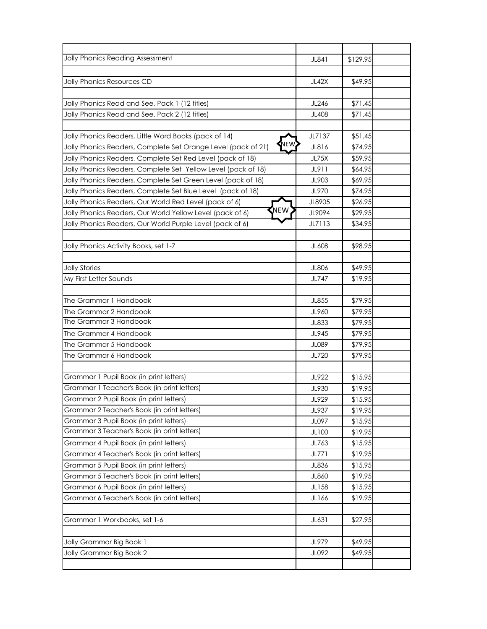| Jolly Phonics Reading Assessment                                      | JL841        | \$129.95 |  |
|-----------------------------------------------------------------------|--------------|----------|--|
|                                                                       |              |          |  |
| Jolly Phonics Resources CD                                            | JL42X        | \$49.95  |  |
|                                                                       |              |          |  |
| Jolly Phonics Read and See, Pack 1 (12 titles)                        | JL246        | \$71.45  |  |
| Jolly Phonics Read and See, Pack 2 (12 titles)                        | JL408        | \$71.45  |  |
|                                                                       |              |          |  |
| Jolly Phonics Readers, Little Word Books (pack of 14)                 | JL7137       | \$51.45  |  |
| NEW.<br>Jolly Phonics Readers, Complete Set Orange Level (pack of 21) | JL816        | \$74.95  |  |
| Jolly Phonics Readers, Complete Set Red Level (pack of 18)            | <b>JL75X</b> | \$59.95  |  |
| Jolly Phonics Readers, Complete Set Yellow Level (pack of 18)         | JL911        | \$64.95  |  |
| Jolly Phonics Readers, Complete Set Green Level (pack of 18)          | JL903        | \$69.95  |  |
| Jolly Phonics Readers, Complete Set Blue Level (pack of 18)           | JL970        | \$74.95  |  |
| Jolly Phonics Readers, Our World Red Level (pack of 6)                | JL8905       | \$26.95  |  |
| NEW<br>Jolly Phonics Readers, Our World Yellow Level (pack of 6)      | JL9094       | \$29.95  |  |
| Jolly Phonics Readers, Our World Purple Level (pack of 6)             | JL7113       | \$34.95  |  |
|                                                                       |              |          |  |
| Jolly Phonics Activity Books, set 1-7                                 | JL608        | \$98.95  |  |
|                                                                       |              |          |  |
| <b>Jolly Stories</b>                                                  | <b>JL806</b> | \$49.95  |  |
| My First Letter Sounds                                                | JL747        | \$19.95  |  |
|                                                                       |              |          |  |
| The Grammar 1 Handbook                                                | JL855        | \$79.95  |  |
| The Grammar 2 Handbook                                                | JL960        | \$79.95  |  |
| The Grammar 3 Handbook                                                | JL833        | \$79.95  |  |
| The Grammar 4 Handbook                                                | JL945        | \$79.95  |  |
| The Grammar 5 Handbook                                                | <b>JL089</b> | \$79.95  |  |
| The Grammar 6 Handbook                                                | JL720        | \$79.95  |  |
|                                                                       |              |          |  |
| Grammar 1 Pupil Book (in print letters)                               | JL922        | \$15.95  |  |
| Grammar 1 Teacher's Book (in print letters)                           | JL930        | \$19.95  |  |
| Grammar 2 Pupil Book (in print letters)                               | JL929        | \$15.95  |  |
| Grammar 2 Teacher's Book (in print letters)                           | JL937        | \$19.95  |  |
| Grammar 3 Pupil Book (in print letters)                               | JL097        | \$15.95  |  |
| Grammar 3 Teacher's Book (in print letters)                           | JL100        | \$19.95  |  |
| Grammar 4 Pupil Book (in print letters)                               | JL763        | \$15.95  |  |
| Grammar 4 Teacher's Book (in print letters)                           | JL771        | \$19.95  |  |
| Grammar 5 Pupil Book (in print letters)                               | JL836        | \$15.95  |  |
| Grammar 5 Teacher's Book (in print letters)                           | JL860        | \$19.95  |  |
| Grammar 6 Pupil Book (in print letters)                               | JL158        | \$15.95  |  |
| Grammar 6 Teacher's Book (in print letters)                           | JL166        | \$19.95  |  |
|                                                                       |              |          |  |
| Grammar 1 Workbooks, set 1-6                                          | JL631        | \$27.95  |  |
|                                                                       |              |          |  |
| Jolly Grammar Big Book 1                                              | JL979        | \$49.95  |  |
| Jolly Grammar Big Book 2                                              | JL092        | \$49.95  |  |
|                                                                       |              |          |  |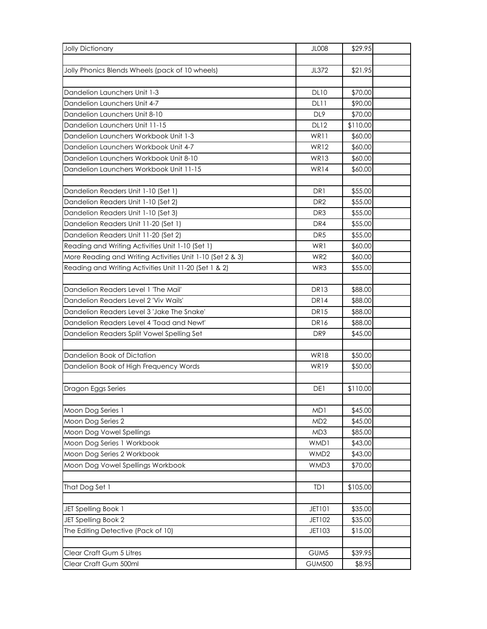| <b>Jolly Dictionary</b>                                   | <b>JL008</b>     | \$29.95  |  |
|-----------------------------------------------------------|------------------|----------|--|
|                                                           |                  |          |  |
| Jolly Phonics Blends Wheels (pack of 10 wheels)           | JL372            | \$21.95  |  |
|                                                           |                  |          |  |
| Dandelion Launchers Unit 1-3                              | <b>DL10</b>      | \$70.00  |  |
| Dandelion Launchers Unit 4-7                              | DL11             | \$90.00  |  |
| Dandelion Launchers Unit 8-10                             | DL <sub>9</sub>  | \$70.00  |  |
| Dandelion Launchers Unit 11-15                            | <b>DL12</b>      | \$110.00 |  |
| Dandelion Launchers Workbook Unit 1-3                     | WR11             | \$60.00  |  |
| Dandelion Launchers Workbook Unit 4-7                     | WR <sub>12</sub> | \$60.00  |  |
| Dandelion Launchers Workbook Unit 8-10                    | <b>WR13</b>      | \$60.00  |  |
| Dandelion Launchers Workbook Unit 11-15                   | <b>WR14</b>      | \$60.00  |  |
|                                                           |                  |          |  |
| Dandelion Readers Unit 1-10 (Set 1)                       | DR <sub>1</sub>  | \$55.00  |  |
| Dandelion Readers Unit 1-10 (Set 2)                       | DR <sub>2</sub>  | \$55.00  |  |
| Dandelion Readers Unit 1-10 (Set 3)                       | DR <sub>3</sub>  | \$55.00  |  |
| Dandelion Readers Unit 11-20 (Set 1)                      | DR4              | \$55.00  |  |
| Dandelion Readers Unit 11-20 (Set 2)                      | DR <sub>5</sub>  | \$55.00  |  |
| Reading and Writing Activities Unit 1-10 (Set 1)          | WR1              | \$60.00  |  |
| More Reading and Writing Activities Unit 1-10 (Set 2 & 3) | WR <sub>2</sub>  | \$60.00  |  |
| Reading and Writing Activities Unit 11-20 (Set 1 & 2)     | WR3              | \$55.00  |  |
|                                                           |                  |          |  |
| Dandelion Readers Level 1 'The Mail'                      | <b>DR13</b>      | \$88.00  |  |
| Dandelion Readers Level 2 'Viv Wails'                     | DR <sub>14</sub> | \$88.00  |  |
| Dandelion Readers Level 3 'Jake The Snake'                | <b>DR15</b>      | \$88.00  |  |
| Dandelion Readers Level 4 'Toad and Newt'                 | DR <sub>16</sub> | \$88.00  |  |
| Dandelion Readers Split Vowel Spelling Set                | DR <sub>9</sub>  | \$45.00  |  |
|                                                           |                  |          |  |
| Dandelion Book of Dictation                               | <b>WR18</b>      | \$50.00  |  |
| Dandelion Book of High Frequency Words                    | <b>WR19</b>      | \$50.00  |  |
|                                                           |                  |          |  |
| Dragon Eggs Series                                        | DE1              | \$110.00 |  |
|                                                           |                  |          |  |
| Moon Dog Series 1                                         | MD1              | \$45.00  |  |
| Moon Dog Series 2                                         | MD <sub>2</sub>  | \$45.00  |  |
| Moon Dog Vowel Spellings                                  | MD3              | \$85.00  |  |
| Moon Dog Series 1 Workbook                                | WMD1             | \$43.00  |  |
| Moon Dog Series 2 Workbook                                | WMD <sub>2</sub> | \$43.00  |  |
| Moon Dog Vowel Spellings Workbook                         | WMD3             | \$70.00  |  |
|                                                           |                  |          |  |
| That Dog Set 1                                            | TD1              | \$105.00 |  |
|                                                           |                  |          |  |
| JET Spelling Book 1                                       | <b>JET101</b>    | \$35.00  |  |
| JET Spelling Book 2                                       | JET102           | \$35.00  |  |
| The Editing Detective (Pack of 10)                        | JET103           | \$15.00  |  |
|                                                           |                  |          |  |
| Clear Craft Gum 5 Litres                                  | GUM <sub>5</sub> | \$39.95  |  |
| Clear Craft Gum 500ml                                     | <b>GUM500</b>    | \$8.95   |  |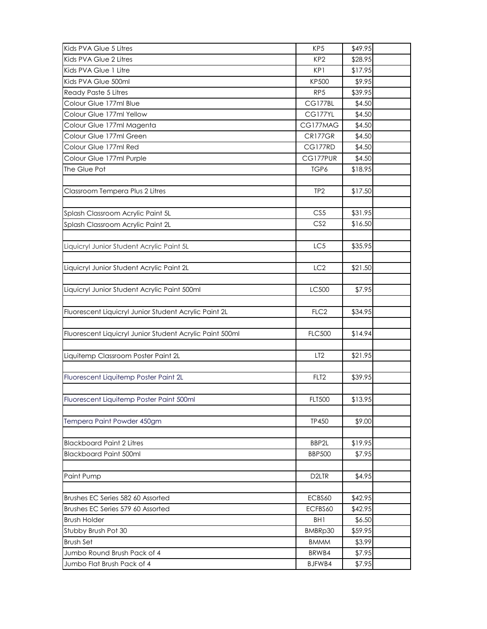| Kids PVA Glue 5 Litres                                   | KP <sub>5</sub>        | \$49.95            |  |
|----------------------------------------------------------|------------------------|--------------------|--|
| Kids PVA Glue 2 Litres                                   | KP <sub>2</sub>        | \$28.95            |  |
| Kids PVA Glue 1 Litre                                    | KP1                    | \$17.95            |  |
| Kids PVA Glue 500ml                                      | <b>KP500</b>           | \$9.95             |  |
| Ready Paste 5 Litres                                     | RP <sub>5</sub>        | \$39.95            |  |
| Colour Glue 177ml Blue                                   | CG177BL                | \$4.50             |  |
| Colour Glue 177ml Yellow                                 | CG177YL                | \$4.50             |  |
| Colour Glue 177ml Magenta                                | CG177MAG               | \$4.50             |  |
| Colour Glue 177ml Green                                  | CR177GR                | \$4.50             |  |
| Colour Glue 177ml Red                                    | CG177RD                | \$4.50             |  |
| Colour Glue 177ml Purple                                 | CG177PUR               | \$4.50             |  |
| The Glue Pot                                             | TGP6                   | \$18.95            |  |
|                                                          |                        |                    |  |
| Classroom Tempera Plus 2 Litres                          | TP <sub>2</sub>        | \$17.50            |  |
|                                                          |                        |                    |  |
| Splash Classroom Acrylic Paint 5L                        | CS <sub>5</sub>        | \$31.95            |  |
| Splash Classroom Acrylic Paint 2L                        | CS <sub>2</sub>        | \$16.50            |  |
|                                                          |                        |                    |  |
| Liquicryl Junior Student Acrylic Paint 5L                | LC5                    | \$35.95            |  |
|                                                          |                        |                    |  |
| Liquicryl Junior Student Acrylic Paint 2L                | LC <sub>2</sub>        | \$21.50            |  |
|                                                          |                        |                    |  |
| Liquicryl Junior Student Acrylic Paint 500ml             | LC500                  | \$7.95             |  |
|                                                          |                        |                    |  |
| Fluorescent Liquicryl Junior Student Acrylic Paint 2L    | FLC <sub>2</sub>       | \$34.95            |  |
|                                                          |                        |                    |  |
| Fluorescent Liquicryl Junior Student Acrylic Paint 500ml | <b>FLC500</b>          | \$14.94            |  |
|                                                          |                        |                    |  |
| Liquitemp Classroom Poster Paint 2L                      | LT <sub>2</sub>        | \$21.95            |  |
|                                                          |                        |                    |  |
| Fluorescent Liquitemp Poster Paint 2L                    | FLT <sub>2</sub>       | \$39.95            |  |
|                                                          |                        |                    |  |
| Fluorescent Liquitemp Poster Paint 500ml                 | <b>FLT500</b>          | \$13.95            |  |
|                                                          |                        |                    |  |
| Tempera Paint Powder 450gm                               | <b>TP450</b>           | \$9.00             |  |
|                                                          |                        |                    |  |
| <b>Blackboard Paint 2 Litres</b>                         | BBP2L<br><b>BBP500</b> | \$19.95            |  |
| <b>Blackboard Paint 500ml</b>                            |                        | \$7.95             |  |
|                                                          |                        |                    |  |
| Paint Pump                                               | D <sub>2</sub> LTR     | \$4.95             |  |
| Brushes EC Series 582 60 Assorted                        |                        |                    |  |
| Brushes EC Series 579 60 Assorted                        | ECBS60<br>ECFBS60      | \$42.95<br>\$42.95 |  |
| <b>Brush Holder</b>                                      | BH1                    | \$6.50             |  |
|                                                          |                        |                    |  |
| Stubby Brush Pot 30<br><b>Brush Set</b>                  | BMBRp30<br><b>BMMM</b> | \$59.95<br>\$3.99  |  |
| Jumbo Round Brush Pack of 4                              | BRWB4                  | \$7.95             |  |
| Jumbo Flat Brush Pack of 4                               |                        |                    |  |
|                                                          | BJFWB4                 | \$7.95             |  |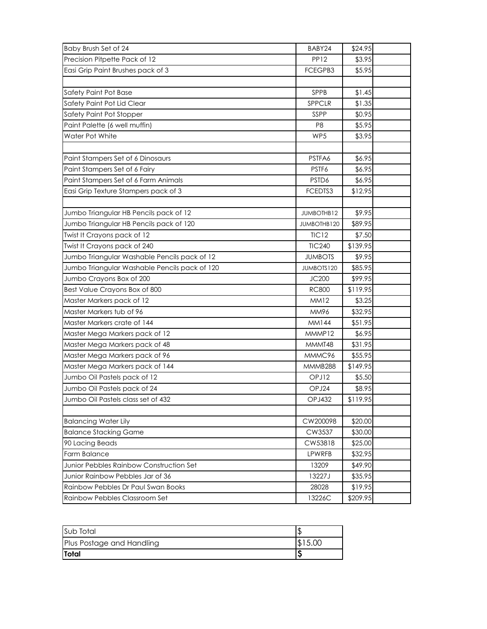| Baby Brush Set of 24                          | BABY24            | \$24.95  |  |
|-----------------------------------------------|-------------------|----------|--|
| Precision Pitpette Pack of 12                 | <b>PP12</b>       | \$3.95   |  |
| Easi Grip Paint Brushes pack of 3             | FCEGPB3           | \$5.95   |  |
|                                               |                   |          |  |
| Safety Paint Pot Base                         | SPPB              | \$1.45   |  |
| Safety Paint Pot Lid Clear                    | SPPCLR            | \$1.35   |  |
| Safety Paint Pot Stopper                      | SSPP              | \$0.95   |  |
| Paint Palette (6 well muffin)                 | P <sub>8</sub>    | \$5.95   |  |
| Water Pot White                               | WP5               | \$3.95   |  |
|                                               |                   |          |  |
| Paint Stampers Set of 6 Dinosaurs             | PSTFA6            | \$6.95   |  |
| Paint Stampers Set of 6 Fairy                 | PSTF6             | \$6.95   |  |
| Paint Stampers Set of 6 Farm Animals          | PSTD6             | \$6.95   |  |
| Easi Grip Texture Stampers pack of 3          | FCEDTS3           | \$12.95  |  |
|                                               |                   |          |  |
| Jumbo Triangular HB Pencils pack of 12        | JUMBOTHB12        | \$9.95   |  |
| Jumbo Triangular HB Pencils pack of 120       | JUMBOTHB120       | \$89.95  |  |
| Twist It Crayons pack of 12                   | TIC12             | \$7.50   |  |
| Twist It Crayons pack of 240                  | <b>TIC240</b>     | \$139.95 |  |
| Jumbo Triangular Washable Pencils pack of 12  | <b>JUMBOTS</b>    | \$9.95   |  |
| Jumbo Triangular Washable Pencils pack of 120 | <b>JUMBOTS120</b> | \$85.95  |  |
| Jumbo Crayons Box of 200                      | JC200             | \$99.95  |  |
| Best Value Crayons Box of 800                 | <b>RC800</b>      | \$119.95 |  |
| Master Markers pack of 12                     | MM12              | \$3.25   |  |
| Master Markers tub of 96                      | MM96              | \$32.95  |  |
| Master Markers crate of 144                   | MM144             | \$51.95  |  |
| Master Mega Markers pack of 12                | MMMP12            | \$6.95   |  |
| Master Mega Markers pack of 48                | MMMT48            | \$31.95  |  |
| Master Mega Markers pack of 96                | MMMC96            | \$55.95  |  |
| Master Mega Markers pack of 144               | MMMB288           | \$149.95 |  |
| Jumbo Oil Pastels pack of 12                  | OPJ12             | \$5.50   |  |
| Jumbo Oil Pastels pack of 24                  | OPJ24             | \$8.95   |  |
| Jumbo Oil Pastels class set of 432            | <b>OPJ432</b>     | \$119.95 |  |
|                                               |                   |          |  |
| <b>Balancing Water Lily</b>                   | CW200098          | \$20.00  |  |
| <b>Balance Stacking Game</b>                  | CW3537            | \$30.00  |  |
| 90 Lacing Beads                               | CW53818           | \$25.00  |  |
| Farm Balance                                  | LPWRFB            | \$32.95  |  |
| Junior Pebbles Rainbow Construction Set       | 13209             | \$49.90  |  |
| Junior Rainbow Pebbles Jar of 36              | 13227J            | \$35.95  |  |
| Rainbow Pebbles Dr Paul Swan Books            | 28028             | \$19.95  |  |
| Rainbow Pebbles Classroom Set                 | 13226C            | \$209.95 |  |

| Sub Total                 |  |
|---------------------------|--|
| Plus Postage and Handling |  |
| <b>Total</b>              |  |